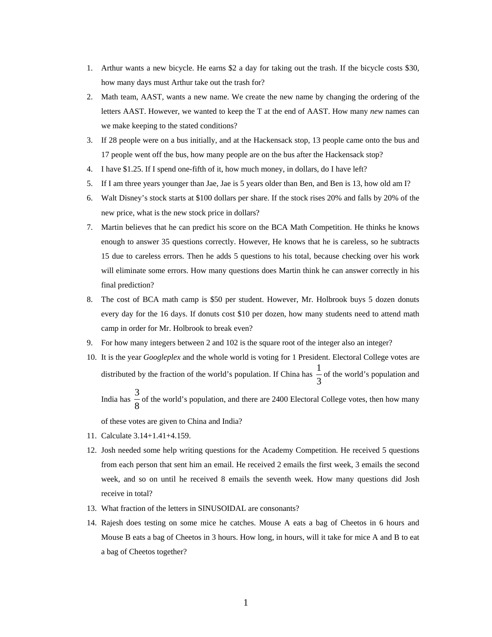- 1. Arthur wants a new bicycle. He earns \$2 a day for taking out the trash. If the bicycle costs \$30, how many days must Arthur take out the trash for?
- 2. Math team, AAST, wants a new name. We create the new name by changing the ordering of the letters AAST. However, we wanted to keep the T at the end of AAST. How many *new* names can we make keeping to the stated conditions?
- 3. If 28 people were on a bus initially, and at the Hackensack stop, 13 people came onto the bus and 17 people went off the bus, how many people are on the bus after the Hackensack stop?
- 4. I have \$1.25. If I spend one-fifth of it, how much money, in dollars, do I have left?
- 5. If I am three years younger than Jae, Jae is 5 years older than Ben, and Ben is 13, how old am I?
- 6. Walt Disney's stock starts at \$100 dollars per share. If the stock rises 20% and falls by 20% of the new price, what is the new stock price in dollars?
- 7. Martin believes that he can predict his score on the BCA Math Competition. He thinks he knows enough to answer 35 questions correctly. However, He knows that he is careless, so he subtracts 15 due to careless errors. Then he adds 5 questions to his total, because checking over his work will eliminate some errors. How many questions does Martin think he can answer correctly in his final prediction?
- 8. The cost of BCA math camp is \$50 per student. However, Mr. Holbrook buys 5 dozen donuts every day for the 16 days. If donuts cost \$10 per dozen, how many students need to attend math camp in order for Mr. Holbrook to break even?
- 9. For how many integers between 2 and 102 is the square root of the integer also an integer?
- 10. It is the year *Googleplex* and the whole world is voting for 1 President. Electoral College votes are distributed by the fraction of the world's population. If China has  $\frac{1}{3}$  $\frac{1}{2}$  of the world's population and India has  $\frac{6}{8}$  $\frac{3}{5}$  of the world's population, and there are 2400 Electoral College votes, then how many

of these votes are given to China and India?

- 11. Calculate 3.14+1.41+4.159.
- 12. Josh needed some help writing questions for the Academy Competition. He received 5 questions from each person that sent him an email. He received 2 emails the first week, 3 emails the second week, and so on until he received 8 emails the seventh week. How many questions did Josh receive in total?
- 13. What fraction of the letters in SINUSOIDAL are consonants?
- 14. Rajesh does testing on some mice he catches. Mouse A eats a bag of Cheetos in 6 hours and Mouse B eats a bag of Cheetos in 3 hours. How long, in hours, will it take for mice A and B to eat a bag of Cheetos together?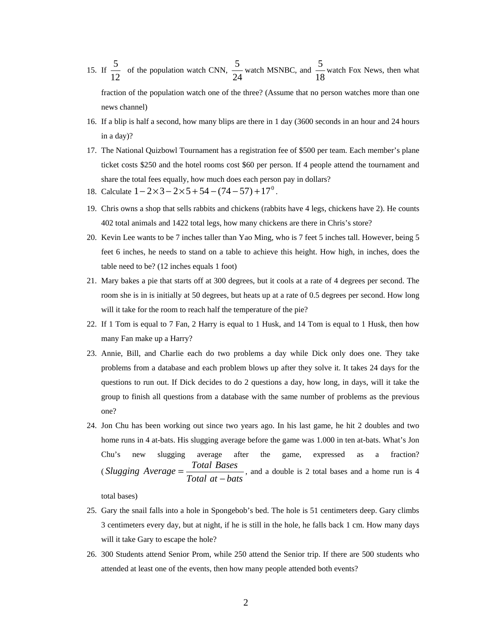15. If  $\frac{6}{12}$  $\frac{5}{2}$  of the population watch CNN, 24  $\frac{5}{24}$  watch MSNBC, and  $\frac{5}{18}$  $\frac{5}{2}$  watch Fox News, then what

fraction of the population watch one of the three? (Assume that no person watches more than one news channel)

- 16. If a blip is half a second, how many blips are there in 1 day (3600 seconds in an hour and 24 hours in a day)?
- 17. The National Quizbowl Tournament has a registration fee of \$500 per team. Each member's plane ticket costs \$250 and the hotel rooms cost \$60 per person. If 4 people attend the tournament and share the total fees equally, how much does each person pay in dollars?
- 18. Calculate  $1 2 \times 3 2 \times 5 + 54 (74 57) + 17^0$ .
- 19. Chris owns a shop that sells rabbits and chickens (rabbits have 4 legs, chickens have 2). He counts 402 total animals and 1422 total legs, how many chickens are there in Chris's store?
- 20. Kevin Lee wants to be 7 inches taller than Yao Ming, who is 7 feet 5 inches tall. However, being 5 feet 6 inches, he needs to stand on a table to achieve this height. How high, in inches, does the table need to be? (12 inches equals 1 foot)
- 21. Mary bakes a pie that starts off at 300 degrees, but it cools at a rate of 4 degrees per second. The room she is in is initially at 50 degrees, but heats up at a rate of 0.5 degrees per second. How long will it take for the room to reach half the temperature of the pie?
- 22. If 1 Tom is equal to 7 Fan, 2 Harry is equal to 1 Husk, and 14 Tom is equal to 1 Husk, then how many Fan make up a Harry?
- 23. Annie, Bill, and Charlie each do two problems a day while Dick only does one. They take problems from a database and each problem blows up after they solve it. It takes 24 days for the questions to run out. If Dick decides to do 2 questions a day, how long, in days, will it take the group to finish all questions from a database with the same number of problems as the previous one?
- 24. Jon Chu has been working out since two years ago. In his last game, he hit 2 doubles and two home runs in 4 at-bats. His slugging average before the game was 1.000 in ten at-bats. What's Jon Chu's new slugging average after the game, expressed as a fraction? (*Slugging*  $Average = \frac{Total \, Bases}{Total \, at - bats}$ , and a double is 2 total bases and a home run is 4

total bases)

- 25. Gary the snail falls into a hole in Spongebob's bed. The hole is 51 centimeters deep. Gary climbs 3 centimeters every day, but at night, if he is still in the hole, he falls back 1 cm. How many days will it take Gary to escape the hole?
- 26. 300 Students attend Senior Prom, while 250 attend the Senior trip. If there are 500 students who attended at least one of the events, then how many people attended both events?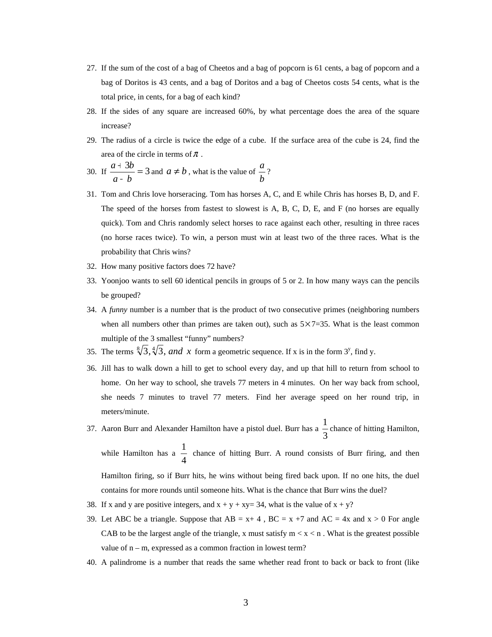- 27. If the sum of the cost of a bag of Cheetos and a bag of popcorn is 61 cents, a bag of popcorn and a bag of Doritos is 43 cents, and a bag of Doritos and a bag of Cheetos costs 54 cents, what is the total price, in cents, for a bag of each kind?
- 28. If the sides of any square are increased 60%, by what percentage does the area of the square increase?
- 29. The radius of a circle is twice the edge of a cube. If the surface area of the cube is 24, find the area of the circle in terms of  $\pi$ .
- 30. If  $\frac{a+3b}{a-b} = 3$ *a b*  $\frac{a+3b}{b}$  = 3 and  $a \neq b$ , what is the value of *b*  $\frac{a}{2}$ ?
- 31. Tom and Chris love horseracing. Tom has horses A, C, and E while Chris has horses B, D, and F. The speed of the horses from fastest to slowest is A, B, C, D, E, and F (no horses are equally quick). Tom and Chris randomly select horses to race against each other, resulting in three races (no horse races twice). To win, a person must win at least two of the three races. What is the probability that Chris wins?
- 32. How many positive factors does 72 have?
- 33. Yoonjoo wants to sell 60 identical pencils in groups of 5 or 2. In how many ways can the pencils be grouped?
- 34. A *funny* number is a number that is the product of two consecutive primes (neighboring numbers when all numbers other than primes are taken out), such as  $5 \times 7 = 35$ . What is the least common multiple of the 3 smallest "funny" numbers?
- 35. The terms  $\sqrt[8]{3}$ ,  $\sqrt[4]{3}$ , and x form a geometric sequence. If x is in the form 3<sup>y</sup>, find y.
- 36. Jill has to walk down a hill to get to school every day, and up that hill to return from school to home. On her way to school, she travels 77 meters in 4 minutes. On her way back from school, she needs 7 minutes to travel 77 meters. Find her average speed on her round trip, in meters/minute.
- 37. Aaron Burr and Alexander Hamilton have a pistol duel. Burr has a  $\frac{1}{3}$  $\frac{1}{2}$  chance of hitting Hamilton,

while Hamilton has a  $\frac{1}{4}$ 1 chance of hitting Burr. A round consists of Burr firing, and then Hamilton firing, so if Burr hits, he wins without being fired back upon. If no one hits, the duel contains for more rounds until someone hits. What is the chance that Burr wins the duel?

- 38. If x and y are positive integers, and  $x + y + xyz = 34$ , what is the value of  $x + y$ ?
- 39. Let ABC be a triangle. Suppose that  $AB = x + 4$ ,  $BC = x + 7$  and  $AC = 4x$  and  $x > 0$  For angle CAB to be the largest angle of the triangle, x must satisfy  $m < x < n$ . What is the greatest possible value of n – m, expressed as a common fraction in lowest term?
- 40. A palindrome is a number that reads the same whether read front to back or back to front (like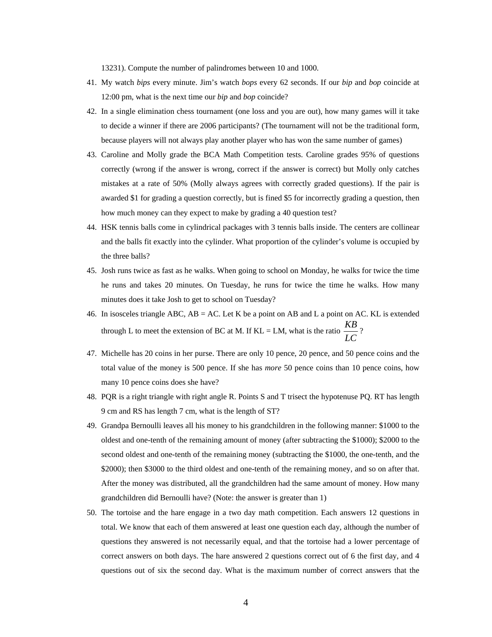13231). Compute the number of palindromes between 10 and 1000.

- 41. My watch *bips* every minute. Jim's watch *bops* every 62 seconds. If our *bip* and *bop* coincide at 12:00 pm, what is the next time our *bip* and *bop* coincide?
- 42. In a single elimination chess tournament (one loss and you are out), how many games will it take to decide a winner if there are 2006 participants? (The tournament will not be the traditional form, because players will not always play another player who has won the same number of games)
- 43. Caroline and Molly grade the BCA Math Competition tests. Caroline grades 95% of questions correctly (wrong if the answer is wrong, correct if the answer is correct) but Molly only catches mistakes at a rate of 50% (Molly always agrees with correctly graded questions). If the pair is awarded \$1 for grading a question correctly, but is fined \$5 for incorrectly grading a question, then how much money can they expect to make by grading a 40 question test?
- 44. HSK tennis balls come in cylindrical packages with 3 tennis balls inside. The centers are collinear and the balls fit exactly into the cylinder. What proportion of the cylinder's volume is occupied by the three balls?
- 45. Josh runs twice as fast as he walks. When going to school on Monday, he walks for twice the time he runs and takes 20 minutes. On Tuesday, he runs for twice the time he walks. How many minutes does it take Josh to get to school on Tuesday?
- 46. In isosceles triangle ABC, AB = AC. Let K be a point on AB and L a point on AC. KL is extended through L to meet the extension of BC at M. If  $KL = LM$ , what is the ratio  $\frac{120}{LC}$  $\frac{KB}{\sqrt{2}}$ ?
- 47. Michelle has 20 coins in her purse. There are only 10 pence, 20 pence, and 50 pence coins and the total value of the money is 500 pence. If she has *more* 50 pence coins than 10 pence coins, how many 10 pence coins does she have?
- 48. PQR is a right triangle with right angle R. Points S and T trisect the hypotenuse PQ. RT has length 9 cm and RS has length 7 cm, what is the length of ST?
- 49. Grandpa Bernoulli leaves all his money to his grandchildren in the following manner: \$1000 to the oldest and one-tenth of the remaining amount of money (after subtracting the \$1000); \$2000 to the second oldest and one-tenth of the remaining money (subtracting the \$1000, the one-tenth, and the \$2000); then \$3000 to the third oldest and one-tenth of the remaining money, and so on after that. After the money was distributed, all the grandchildren had the same amount of money. How many grandchildren did Bernoulli have? (Note: the answer is greater than 1)
- 50. The tortoise and the hare engage in a two day math competition. Each answers 12 questions in total. We know that each of them answered at least one question each day, although the number of questions they answered is not necessarily equal, and that the tortoise had a lower percentage of correct answers on both days. The hare answered 2 questions correct out of 6 the first day, and 4 questions out of six the second day. What is the maximum number of correct answers that the